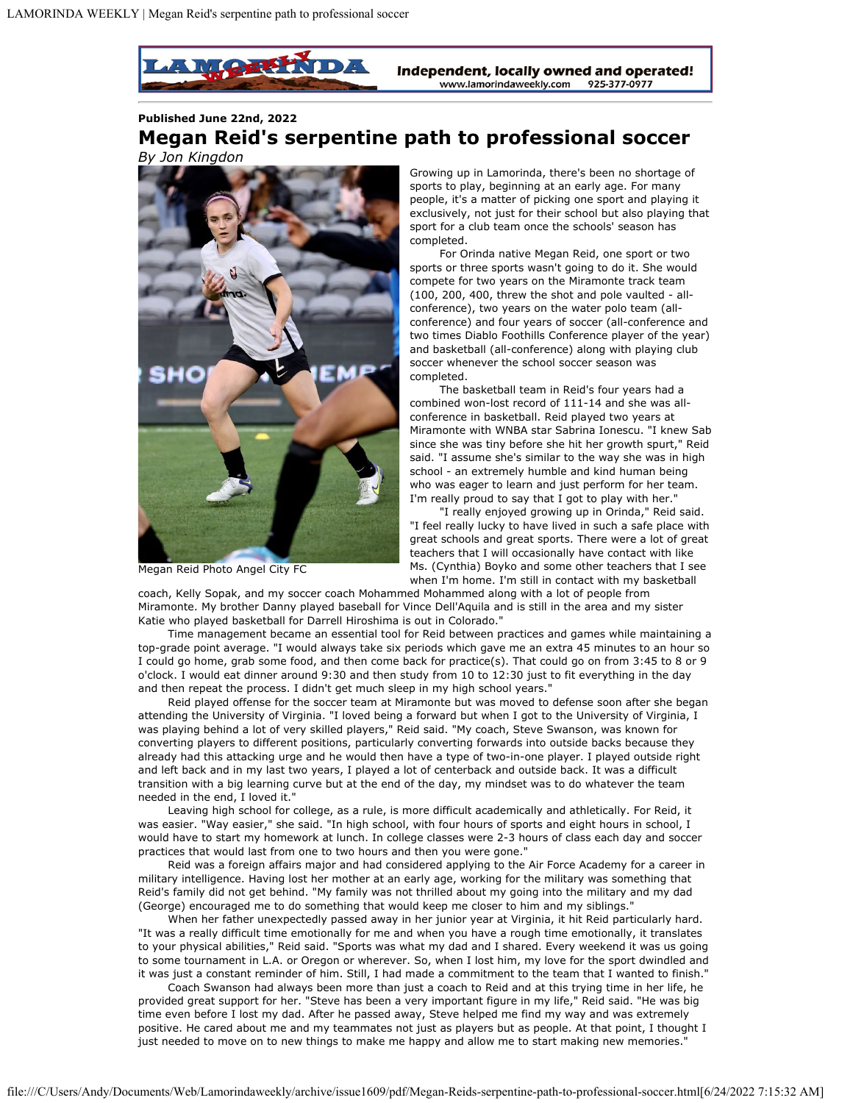**STILL ADDED D** Independent, locally owned and operated! www.lamorindaweekly.com 925-377-0977

**Published June 22nd, 2022**

## **Megan Reid's serpentine path to professional soccer** *By Jon Kingdon*



Megan Reid Photo Angel City FC

Growing up in Lamorinda, there's been no shortage of sports to play, beginning at an early age. For many people, it's a matter of picking one sport and playing it exclusively, not just for their school but also playing that sport for a club team once the schools' season has completed.

For Orinda native Megan Reid, one sport or two sports or three sports wasn't going to do it. She would compete for two years on the Miramonte track team (100, 200, 400, threw the shot and pole vaulted - allconference), two years on the water polo team (allconference) and four years of soccer (all-conference and two times Diablo Foothills Conference player of the year) and basketball (all-conference) along with playing club soccer whenever the school soccer season was completed.

The basketball team in Reid's four years had a combined won-lost record of 111-14 and she was allconference in basketball. Reid played two years at Miramonte with WNBA star Sabrina Ionescu. "I knew Sab since she was tiny before she hit her growth spurt," Reid said. "I assume she's similar to the way she was in high school - an extremely humble and kind human being who was eager to learn and just perform for her team. I'm really proud to say that I got to play with her."

"I really enjoyed growing up in Orinda," Reid said. "I feel really lucky to have lived in such a safe place with great schools and great sports. There were a lot of great teachers that I will occasionally have contact with like Ms. (Cynthia) Boyko and some other teachers that I see when I'm home. I'm still in contact with my basketball

coach, Kelly Sopak, and my soccer coach Mohammed Mohammed along with a lot of people from Miramonte. My brother Danny played baseball for Vince Dell'Aquila and is still in the area and my sister Katie who played basketball for Darrell Hiroshima is out in Colorado."

Time management became an essential tool for Reid between practices and games while maintaining a top-grade point average. "I would always take six periods which gave me an extra 45 minutes to an hour so I could go home, grab some food, and then come back for practice(s). That could go on from 3:45 to 8 or 9 o'clock. I would eat dinner around 9:30 and then study from 10 to 12:30 just to fit everything in the day and then repeat the process. I didn't get much sleep in my high school years."

Reid played offense for the soccer team at Miramonte but was moved to defense soon after she began attending the University of Virginia. "I loved being a forward but when I got to the University of Virginia, I was playing behind a lot of very skilled players," Reid said. "My coach, Steve Swanson, was known for converting players to different positions, particularly converting forwards into outside backs because they already had this attacking urge and he would then have a type of two-in-one player. I played outside right and left back and in my last two years, I played a lot of centerback and outside back. It was a difficult transition with a big learning curve but at the end of the day, my mindset was to do whatever the team needed in the end, I loved it."

Leaving high school for college, as a rule, is more difficult academically and athletically. For Reid, it was easier. "Way easier," she said. "In high school, with four hours of sports and eight hours in school, I would have to start my homework at lunch. In college classes were 2-3 hours of class each day and soccer practices that would last from one to two hours and then you were gone."

Reid was a foreign affairs major and had considered applying to the Air Force Academy for a career in military intelligence. Having lost her mother at an early age, working for the military was something that Reid's family did not get behind. "My family was not thrilled about my going into the military and my dad (George) encouraged me to do something that would keep me closer to him and my siblings."

When her father unexpectedly passed away in her junior year at Virginia, it hit Reid particularly hard. "It was a really difficult time emotionally for me and when you have a rough time emotionally, it translates to your physical abilities," Reid said. "Sports was what my dad and I shared. Every weekend it was us going to some tournament in L.A. or Oregon or wherever. So, when I lost him, my love for the sport dwindled and it was just a constant reminder of him. Still, I had made a commitment to the team that I wanted to finish."

Coach Swanson had always been more than just a coach to Reid and at this trying time in her life, he provided great support for her. "Steve has been a very important figure in my life," Reid said. "He was big time even before I lost my dad. After he passed away, Steve helped me find my way and was extremely positive. He cared about me and my teammates not just as players but as people. At that point, I thought I just needed to move on to new things to make me happy and allow me to start making new memories."